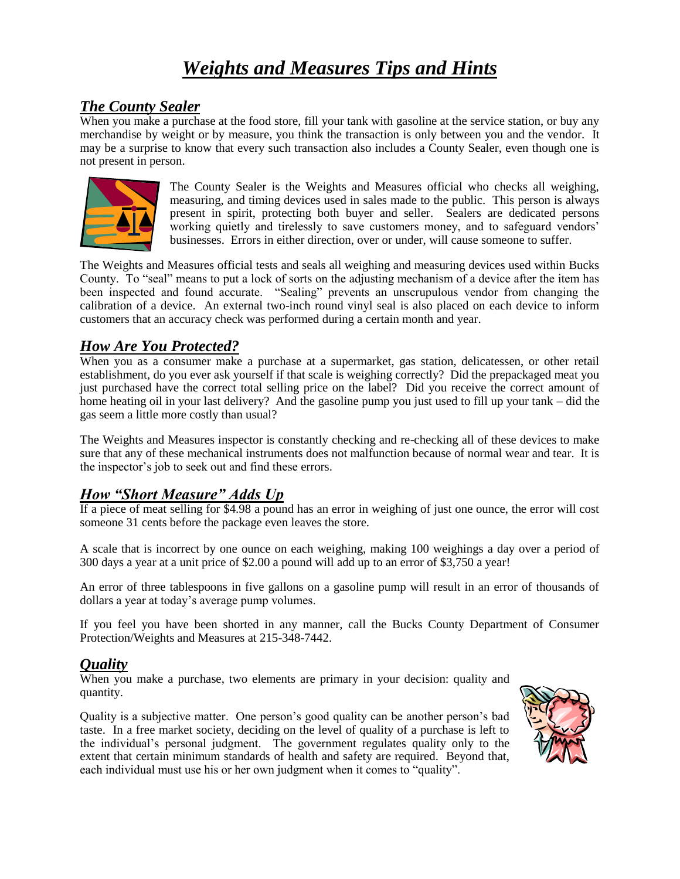# *Weights and Measures Tips and Hints*

#### *The County Sealer*

When you make a purchase at the food store, fill your tank with gasoline at the service station, or buy any merchandise by weight or by measure, you think the transaction is only between you and the vendor. It may be a surprise to know that every such transaction also includes a County Sealer, even though one is not present in person.



The County Sealer is the Weights and Measures official who checks all weighing, measuring, and timing devices used in sales made to the public. This person is always present in spirit, protecting both buyer and seller. Sealers are dedicated persons working quietly and tirelessly to save customers money, and to safeguard vendors' businesses. Errors in either direction, over or under, will cause someone to suffer.

The Weights and Measures official tests and seals all weighing and measuring devices used within Bucks County. To "seal" means to put a lock of sorts on the adjusting mechanism of a device after the item has been inspected and found accurate. "Sealing" prevents an unscrupulous vendor from changing the calibration of a device. An external two-inch round vinyl seal is also placed on each device to inform customers that an accuracy check was performed during a certain month and year.

## *How Are You Protected?*

When you as a consumer make a purchase at a supermarket, gas station, delicatessen, or other retail establishment, do you ever ask yourself if that scale is weighing correctly? Did the prepackaged meat you just purchased have the correct total selling price on the label? Did you receive the correct amount of home heating oil in your last delivery? And the gasoline pump you just used to fill up your tank – did the gas seem a little more costly than usual?

The Weights and Measures inspector is constantly checking and re-checking all of these devices to make sure that any of these mechanical instruments does not malfunction because of normal wear and tear. It is the inspector's job to seek out and find these errors.

#### *How "Short Measure" Adds Up*

If a piece of meat selling for \$4.98 a pound has an error in weighing of just one ounce, the error will cost someone 31 cents before the package even leaves the store.

A scale that is incorrect by one ounce on each weighing, making 100 weighings a day over a period of 300 days a year at a unit price of \$2.00 a pound will add up to an error of \$3,750 a year!

An error of three tablespoons in five gallons on a gasoline pump will result in an error of thousands of dollars a year at today's average pump volumes.

If you feel you have been shorted in any manner, call the Bucks County Department of Consumer Protection/Weights and Measures at 215-348-7442.

## *Quality*

When you make a purchase, two elements are primary in your decision: quality and quantity.

Quality is a subjective matter. One person's good quality can be another person's bad taste. In a free market society, deciding on the level of quality of a purchase is left to the individual's personal judgment. The government regulates quality only to the extent that certain minimum standards of health and safety are required. Beyond that, each individual must use his or her own judgment when it comes to "quality".

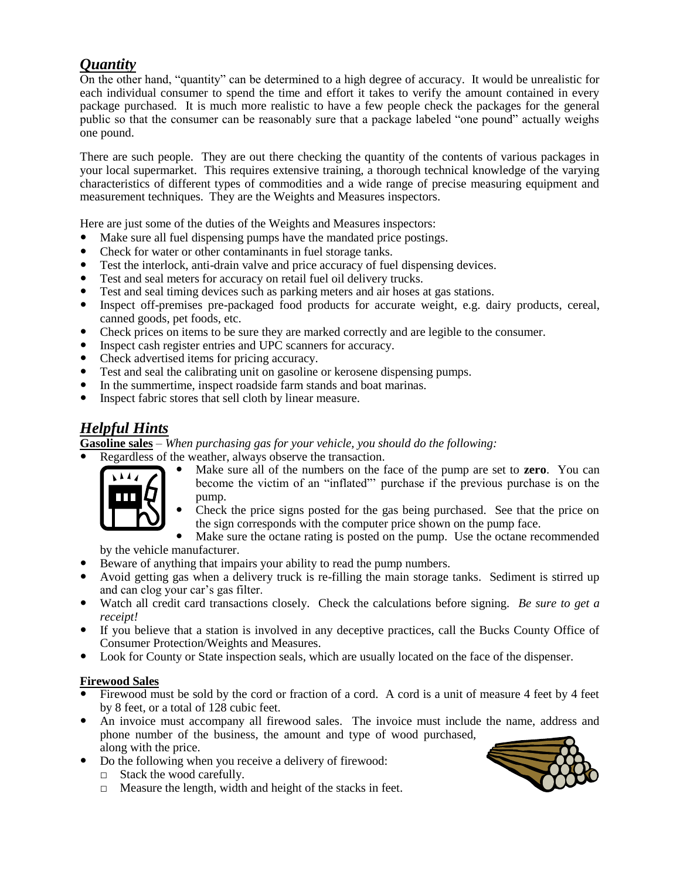## *Quantity*

On the other hand, "quantity" can be determined to a high degree of accuracy. It would be unrealistic for each individual consumer to spend the time and effort it takes to verify the amount contained in every package purchased. It is much more realistic to have a few people check the packages for the general public so that the consumer can be reasonably sure that a package labeled "one pound" actually weighs one pound.

There are such people. They are out there checking the quantity of the contents of various packages in your local supermarket. This requires extensive training, a thorough technical knowledge of the varying characteristics of different types of commodities and a wide range of precise measuring equipment and measurement techniques. They are the Weights and Measures inspectors.

Here are just some of the duties of the Weights and Measures inspectors:

- Make sure all fuel dispensing pumps have the mandated price postings.
- Check for water or other contaminants in fuel storage tanks.
- Test the interlock, anti-drain valve and price accuracy of fuel dispensing devices.
- Test and seal meters for accuracy on retail fuel oil delivery trucks.
- Test and seal timing devices such as parking meters and air hoses at gas stations.
- Inspect off-premises pre-packaged food products for accurate weight, e.g. dairy products, cereal, canned goods, pet foods, etc.
- Check prices on items to be sure they are marked correctly and are legible to the consumer.
- Inspect cash register entries and UPC scanners for accuracy.
- Check advertised items for pricing accuracy.
- Test and seal the calibrating unit on gasoline or kerosene dispensing pumps.
- In the summertime, inspect roadside farm stands and boat marinas.
- Inspect fabric stores that sell cloth by linear measure.

# *Helpful Hints*

**Gasoline sales** – *When purchasing gas for your vehicle, you should do the following:*

Regardless of the weather, always observe the transaction.



 Make sure all of the numbers on the face of the pump are set to **zero**. You can become the victim of an "inflated"' purchase if the previous purchase is on the pump.

 Check the price signs posted for the gas being purchased. See that the price on the sign corresponds with the computer price shown on the pump face.

 Make sure the octane rating is posted on the pump. Use the octane recommended by the vehicle manufacturer.

- Beware of anything that impairs your ability to read the pump numbers.
- Avoid getting gas when a delivery truck is re-filling the main storage tanks. Sediment is stirred up and can clog your car's gas filter.
- Watch all credit card transactions closely. Check the calculations before signing. *Be sure to get a receipt!*
- If you believe that a station is involved in any deceptive practices, call the Bucks County Office of Consumer Protection/Weights and Measures.
- Look for County or State inspection seals, which are usually located on the face of the dispenser.

#### **Firewood Sales**

- Firewood must be sold by the cord or fraction of a cord. A cord is a unit of measure 4 feet by 4 feet by 8 feet, or a total of 128 cubic feet.
- An invoice must accompany all firewood sales. The invoice must include the name, address and phone number of the business, the amount and type of wood purchased, along with the price.
- Do the following when you receive a delivery of firewood:
	- □ Stack the wood carefully.
	- □ Measure the length, width and height of the stacks in feet.

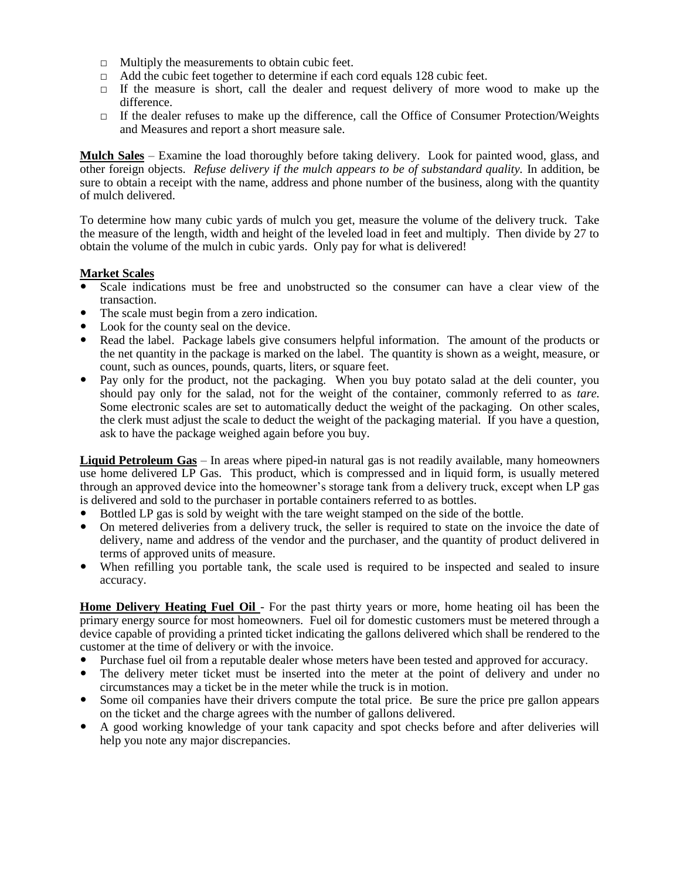- $\Box$  Multiply the measurements to obtain cubic feet.
- $\Box$  Add the cubic feet together to determine if each cord equals 128 cubic feet.
- $\Box$  If the measure is short, call the dealer and request delivery of more wood to make up the difference.
- □ If the dealer refuses to make up the difference, call the Office of Consumer Protection/Weights and Measures and report a short measure sale.

**Mulch Sales** – Examine the load thoroughly before taking delivery. Look for painted wood, glass, and other foreign objects. *Refuse delivery if the mulch appears to be of substandard quality.* In addition, be sure to obtain a receipt with the name, address and phone number of the business, along with the quantity of mulch delivered.

To determine how many cubic yards of mulch you get, measure the volume of the delivery truck. Take the measure of the length, width and height of the leveled load in feet and multiply. Then divide by 27 to obtain the volume of the mulch in cubic yards. Only pay for what is delivered!

#### **Market Scales**

- Scale indications must be free and unobstructed so the consumer can have a clear view of the transaction.
- The scale must begin from a zero indication.
- Look for the county seal on the device.
- Read the label. Package labels give consumers helpful information. The amount of the products or the net quantity in the package is marked on the label. The quantity is shown as a weight, measure, or count, such as ounces, pounds, quarts, liters, or square feet.
- Pay only for the product, not the packaging. When you buy potato salad at the deli counter, you should pay only for the salad, not for the weight of the container, commonly referred to as *tare.* Some electronic scales are set to automatically deduct the weight of the packaging. On other scales, the clerk must adjust the scale to deduct the weight of the packaging material. If you have a question, ask to have the package weighed again before you buy.

**Liquid Petroleum Gas** – In areas where piped-in natural gas is not readily available, many homeowners use home delivered LP Gas. This product, which is compressed and in liquid form, is usually metered through an approved device into the homeowner's storage tank from a delivery truck, except when LP gas is delivered and sold to the purchaser in portable containers referred to as bottles.

- Bottled LP gas is sold by weight with the tare weight stamped on the side of the bottle.
- On metered deliveries from a delivery truck, the seller is required to state on the invoice the date of delivery, name and address of the vendor and the purchaser, and the quantity of product delivered in terms of approved units of measure.
- When refilling you portable tank, the scale used is required to be inspected and sealed to insure accuracy.

**Home Delivery Heating Fuel Oil** - For the past thirty years or more, home heating oil has been the primary energy source for most homeowners. Fuel oil for domestic customers must be metered through a device capable of providing a printed ticket indicating the gallons delivered which shall be rendered to the customer at the time of delivery or with the invoice.

- Purchase fuel oil from a reputable dealer whose meters have been tested and approved for accuracy.
- The delivery meter ticket must be inserted into the meter at the point of delivery and under no circumstances may a ticket be in the meter while the truck is in motion.
- Some oil companies have their drivers compute the total price. Be sure the price pre gallon appears on the ticket and the charge agrees with the number of gallons delivered.
- A good working knowledge of your tank capacity and spot checks before and after deliveries will help you note any major discrepancies.